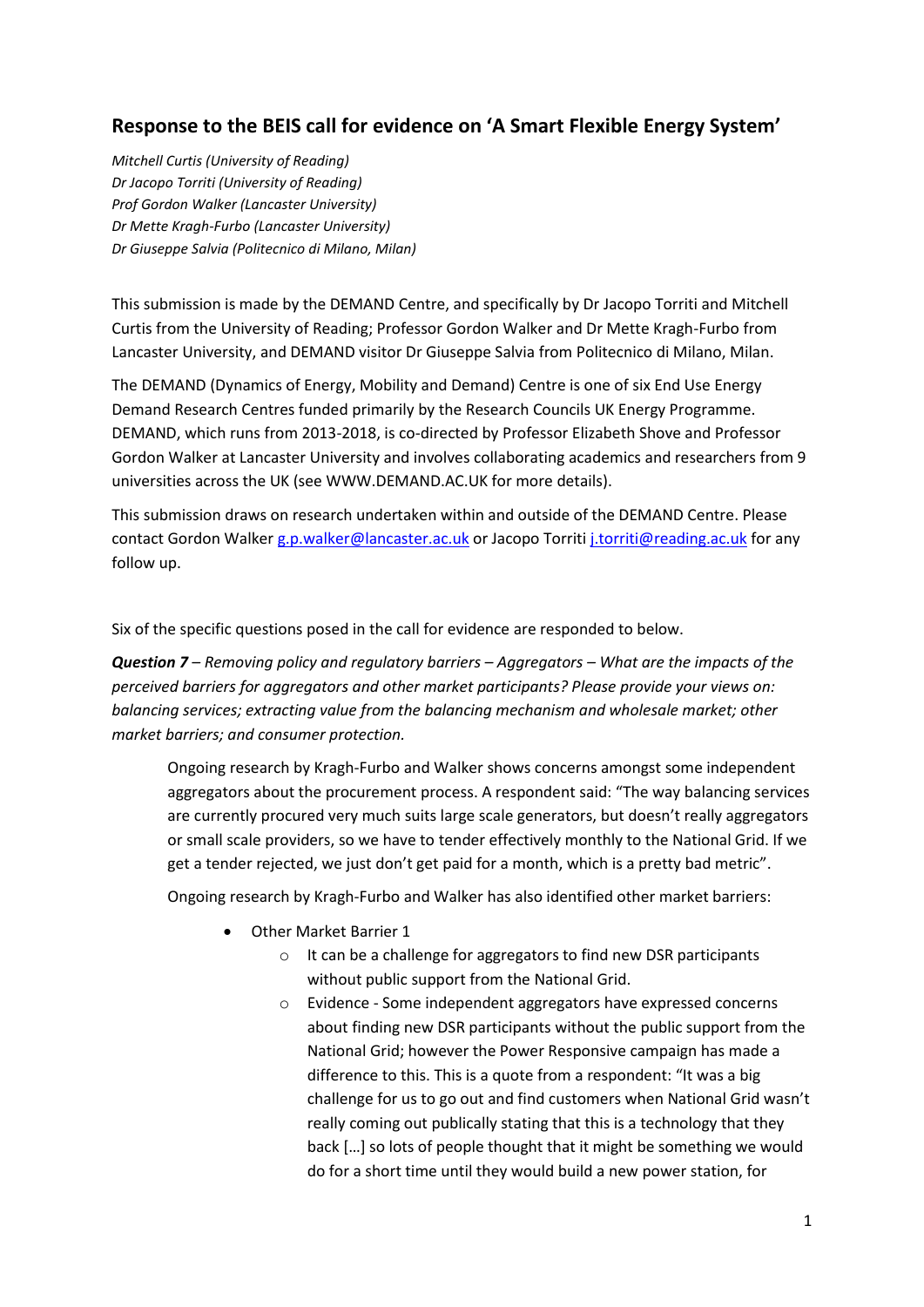## **Response to the BEIS call for evidence on 'A Smart Flexible Energy System'**

*Mitchell Curtis (University of Reading) Dr Jacopo Torriti (University of Reading) Prof Gordon Walker (Lancaster University) Dr Mette Kragh-Furbo (Lancaster University) Dr Giuseppe Salvia (Politecnico di Milano, Milan)*

This submission is made by the DEMAND Centre, and specifically by Dr Jacopo Torriti and Mitchell Curtis from the University of Reading; Professor Gordon Walker and Dr Mette Kragh-Furbo from Lancaster University, and DEMAND visitor Dr Giuseppe Salvia from Politecnico di Milano, Milan.

The DEMAND (Dynamics of Energy, Mobility and Demand) Centre is one of six End Use Energy Demand Research Centres funded primarily by the Research Councils UK Energy Programme. DEMAND, which runs from 2013-2018, is co-directed by Professor Elizabeth Shove and Professor Gordon Walker at Lancaster University and involves collaborating academics and researchers from 9 universities across the UK (see WWW.DEMAND.AC.UK for more details).

This submission draws on research undertaken within and outside of the DEMAND Centre. Please contact Gordon Walker [g.p.walker@lancaster.ac.uk](mailto:g.p.walker@lancaster.ac.uk) or Jacopo Torriti [j.torriti@reading.ac.uk](mailto:j.torriti@reading.ac.uk) for any follow up.

Six of the specific questions posed in the call for evidence are responded to below.

*Question 7 – Removing policy and regulatory barriers – Aggregators – What are the impacts of the perceived barriers for aggregators and other market participants? Please provide your views on: balancing services; extracting value from the balancing mechanism and wholesale market; other market barriers; and consumer protection.*

Ongoing research by Kragh-Furbo and Walker shows concerns amongst some independent aggregators about the procurement process. A respondent said: "The way balancing services are currently procured very much suits large scale generators, but doesn't really aggregators or small scale providers, so we have to tender effectively monthly to the National Grid. If we get a tender rejected, we just don't get paid for a month, which is a pretty bad metric".

Ongoing research by Kragh-Furbo and Walker has also identified other market barriers:

- Other Market Barrier 1
	- o It can be a challenge for aggregators to find new DSR participants without public support from the National Grid.
	- o Evidence Some independent aggregators have expressed concerns about finding new DSR participants without the public support from the National Grid; however the Power Responsive campaign has made a difference to this. This is a quote from a respondent: "It was a big challenge for us to go out and find customers when National Grid wasn't really coming out publically stating that this is a technology that they back […] so lots of people thought that it might be something we would do for a short time until they would build a new power station, for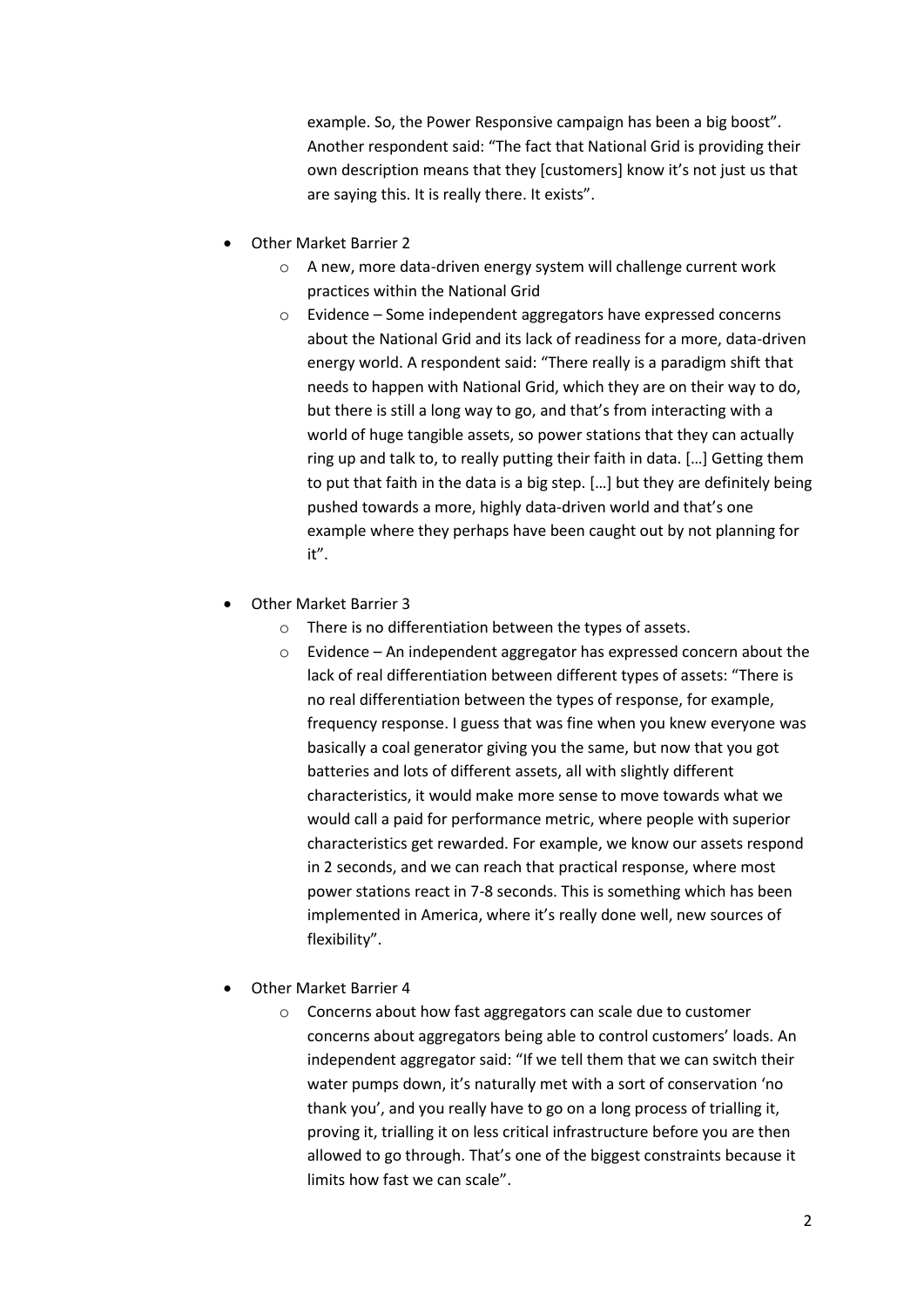example. So, the Power Responsive campaign has been a big boost". Another respondent said: "The fact that National Grid is providing their own description means that they [customers] know it's not just us that are saying this. It is really there. It exists".

- Other Market Barrier 2
	- o A new, more data-driven energy system will challenge current work practices within the National Grid
	- o Evidence Some independent aggregators have expressed concerns about the National Grid and its lack of readiness for a more, data-driven energy world. A respondent said: "There really is a paradigm shift that needs to happen with National Grid, which they are on their way to do, but there is still a long way to go, and that's from interacting with a world of huge tangible assets, so power stations that they can actually ring up and talk to, to really putting their faith in data. […] Getting them to put that faith in the data is a big step. […] but they are definitely being pushed towards a more, highly data-driven world and that's one example where they perhaps have been caught out by not planning for it".
- Other Market Barrier 3
	- o There is no differentiation between the types of assets.
	- o Evidence An independent aggregator has expressed concern about the lack of real differentiation between different types of assets: "There is no real differentiation between the types of response, for example, frequency response. I guess that was fine when you knew everyone was basically a coal generator giving you the same, but now that you got batteries and lots of different assets, all with slightly different characteristics, it would make more sense to move towards what we would call a paid for performance metric, where people with superior characteristics get rewarded. For example, we know our assets respond in 2 seconds, and we can reach that practical response, where most power stations react in 7-8 seconds. This is something which has been implemented in America, where it's really done well, new sources of flexibility".
- Other Market Barrier 4
	- o Concerns about how fast aggregators can scale due to customer concerns about aggregators being able to control customers' loads. An independent aggregator said: "If we tell them that we can switch their water pumps down, it's naturally met with a sort of conservation 'no thank you', and you really have to go on a long process of trialling it, proving it, trialling it on less critical infrastructure before you are then allowed to go through. That's one of the biggest constraints because it limits how fast we can scale".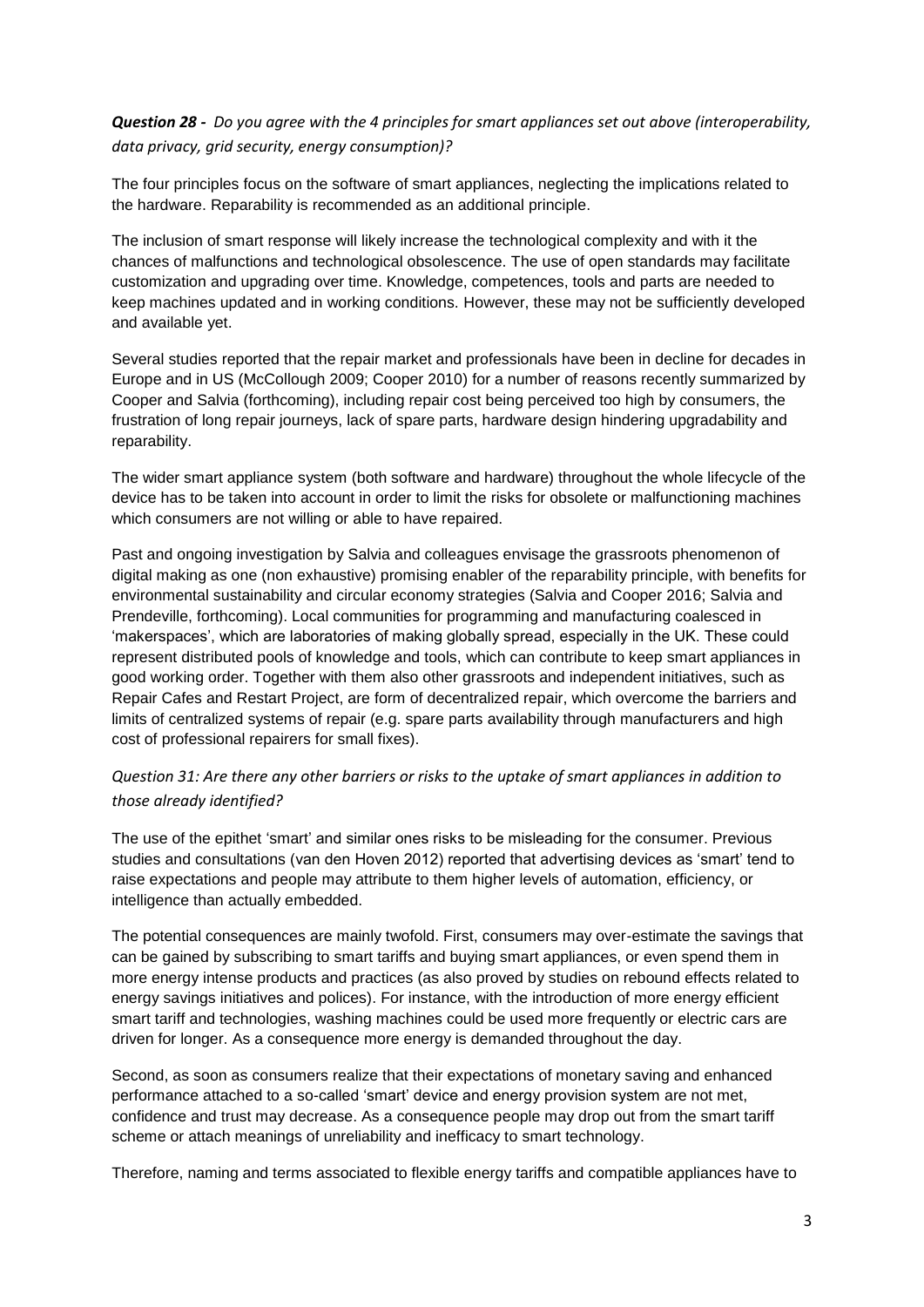## *Question 28 - Do you agree with the 4 principles for smart appliances set out above (interoperability, data privacy, grid security, energy consumption)?*

The four principles focus on the software of smart appliances, neglecting the implications related to the hardware. Reparability is recommended as an additional principle.

The inclusion of smart response will likely increase the technological complexity and with it the chances of malfunctions and technological obsolescence. The use of open standards may facilitate customization and upgrading over time. Knowledge, competences, tools and parts are needed to keep machines updated and in working conditions. However, these may not be sufficiently developed and available yet.

Several studies reported that the repair market and professionals have been in decline for decades in Europe and in US (McCollough 2009; Cooper 2010) for a number of reasons recently summarized by Cooper and Salvia (forthcoming), including repair cost being perceived too high by consumers, the frustration of long repair journeys, lack of spare parts, hardware design hindering upgradability and reparability.

The wider smart appliance system (both software and hardware) throughout the whole lifecycle of the device has to be taken into account in order to limit the risks for obsolete or malfunctioning machines which consumers are not willing or able to have repaired.

Past and ongoing investigation by Salvia and colleagues envisage the grassroots phenomenon of digital making as one (non exhaustive) promising enabler of the reparability principle, with benefits for environmental sustainability and circular economy strategies (Salvia and Cooper 2016; Salvia and Prendeville, forthcoming). Local communities for programming and manufacturing coalesced in 'makerspaces', which are laboratories of making globally spread, especially in the UK. These could represent distributed pools of knowledge and tools, which can contribute to keep smart appliances in good working order. Together with them also other grassroots and independent initiatives, such as Repair Cafes and Restart Project, are form of decentralized repair, which overcome the barriers and limits of centralized systems of repair (e.g. spare parts availability through manufacturers and high cost of professional repairers for small fixes).

## *Question 31: Are there any other barriers or risks to the uptake of smart appliances in addition to those already identified?*

The use of the epithet 'smart' and similar ones risks to be misleading for the consumer. Previous studies and consultations (van den Hoven 2012) reported that advertising devices as 'smart' tend to raise expectations and people may attribute to them higher levels of automation, efficiency, or intelligence than actually embedded.

The potential consequences are mainly twofold. First, consumers may over-estimate the savings that can be gained by subscribing to smart tariffs and buying smart appliances, or even spend them in more energy intense products and practices (as also proved by studies on rebound effects related to energy savings initiatives and polices). For instance, with the introduction of more energy efficient smart tariff and technologies, washing machines could be used more frequently or electric cars are driven for longer. As a consequence more energy is demanded throughout the day.

Second, as soon as consumers realize that their expectations of monetary saving and enhanced performance attached to a so-called 'smart' device and energy provision system are not met, confidence and trust may decrease. As a consequence people may drop out from the smart tariff scheme or attach meanings of unreliability and inefficacy to smart technology.

Therefore, naming and terms associated to flexible energy tariffs and compatible appliances have to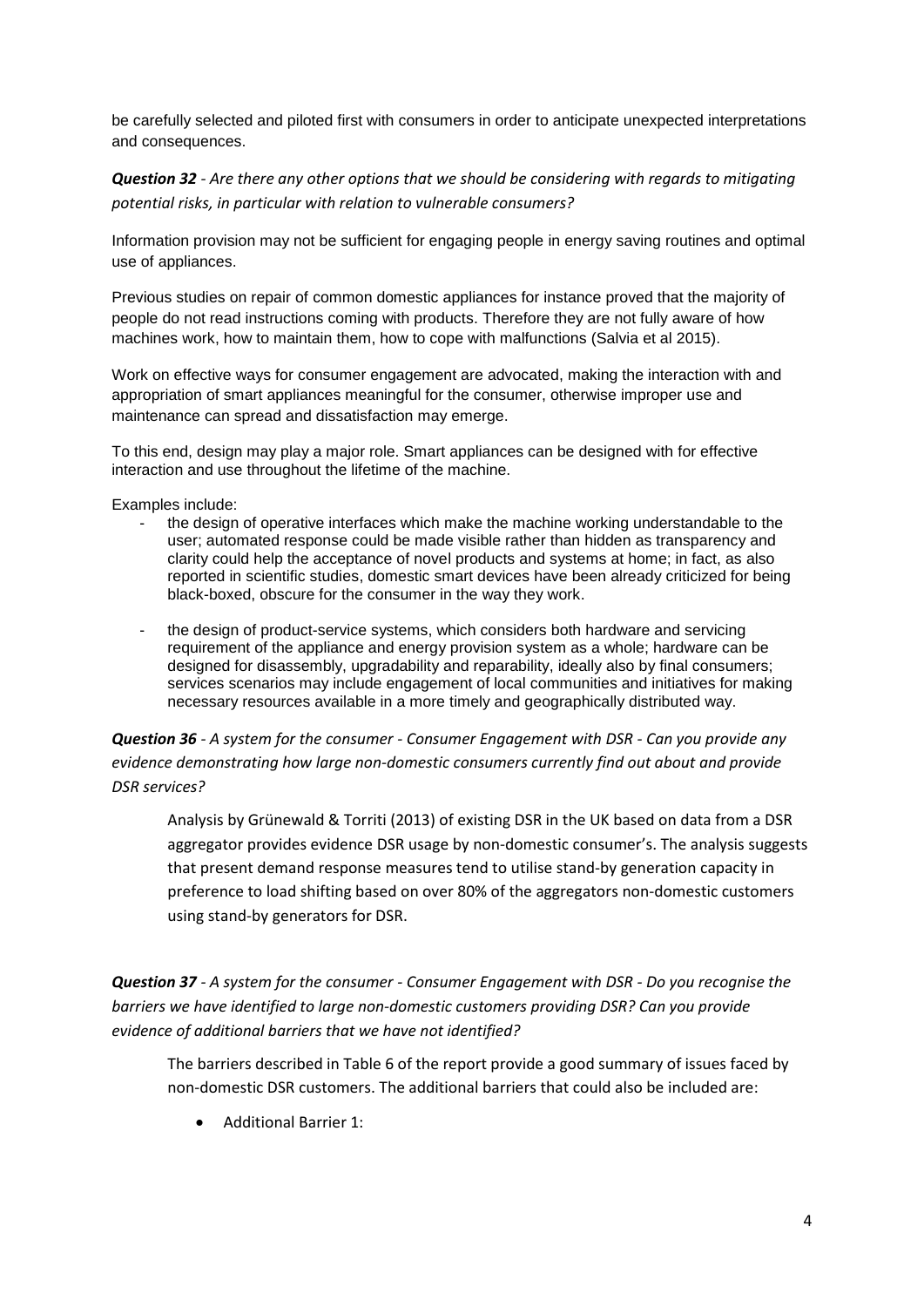be carefully selected and piloted first with consumers in order to anticipate unexpected interpretations and consequences.

*Question 32 - Are there any other options that we should be considering with regards to mitigating potential risks, in particular with relation to vulnerable consumers?*

Information provision may not be sufficient for engaging people in energy saving routines and optimal use of appliances.

Previous studies on repair of common domestic appliances for instance proved that the majority of people do not read instructions coming with products. Therefore they are not fully aware of how machines work, how to maintain them, how to cope with malfunctions (Salvia et al 2015).

Work on effective ways for consumer engagement are advocated, making the interaction with and appropriation of smart appliances meaningful for the consumer, otherwise improper use and maintenance can spread and dissatisfaction may emerge.

To this end, design may play a major role. Smart appliances can be designed with for effective interaction and use throughout the lifetime of the machine.

Examples include:

- the design of operative interfaces which make the machine working understandable to the user; automated response could be made visible rather than hidden as transparency and clarity could help the acceptance of novel products and systems at home; in fact, as also reported in scientific studies, domestic smart devices have been already criticized for being black-boxed, obscure for the consumer in the way they work.
- the design of product-service systems, which considers both hardware and servicing requirement of the appliance and energy provision system as a whole; hardware can be designed for disassembly, upgradability and reparability, ideally also by final consumers; services scenarios may include engagement of local communities and initiatives for making necessary resources available in a more timely and geographically distributed way.

*Question 36 - A system for the consumer - Consumer Engagement with DSR - Can you provide any evidence demonstrating how large non-domestic consumers currently find out about and provide DSR services?*

Analysis by Grünewald & Torriti (2013) of existing DSR in the UK based on data from a DSR aggregator provides evidence DSR usage by non-domestic consumer's. The analysis suggests that present demand response measures tend to utilise stand-by generation capacity in preference to load shifting based on over 80% of the aggregators non-domestic customers using stand-by generators for DSR.

*Question 37 - A system for the consumer - Consumer Engagement with DSR - Do you recognise the barriers we have identified to large non-domestic customers providing DSR? Can you provide evidence of additional barriers that we have not identified?*

The barriers described in Table 6 of the report provide a good summary of issues faced by non-domestic DSR customers. The additional barriers that could also be included are:

Additional Barrier 1: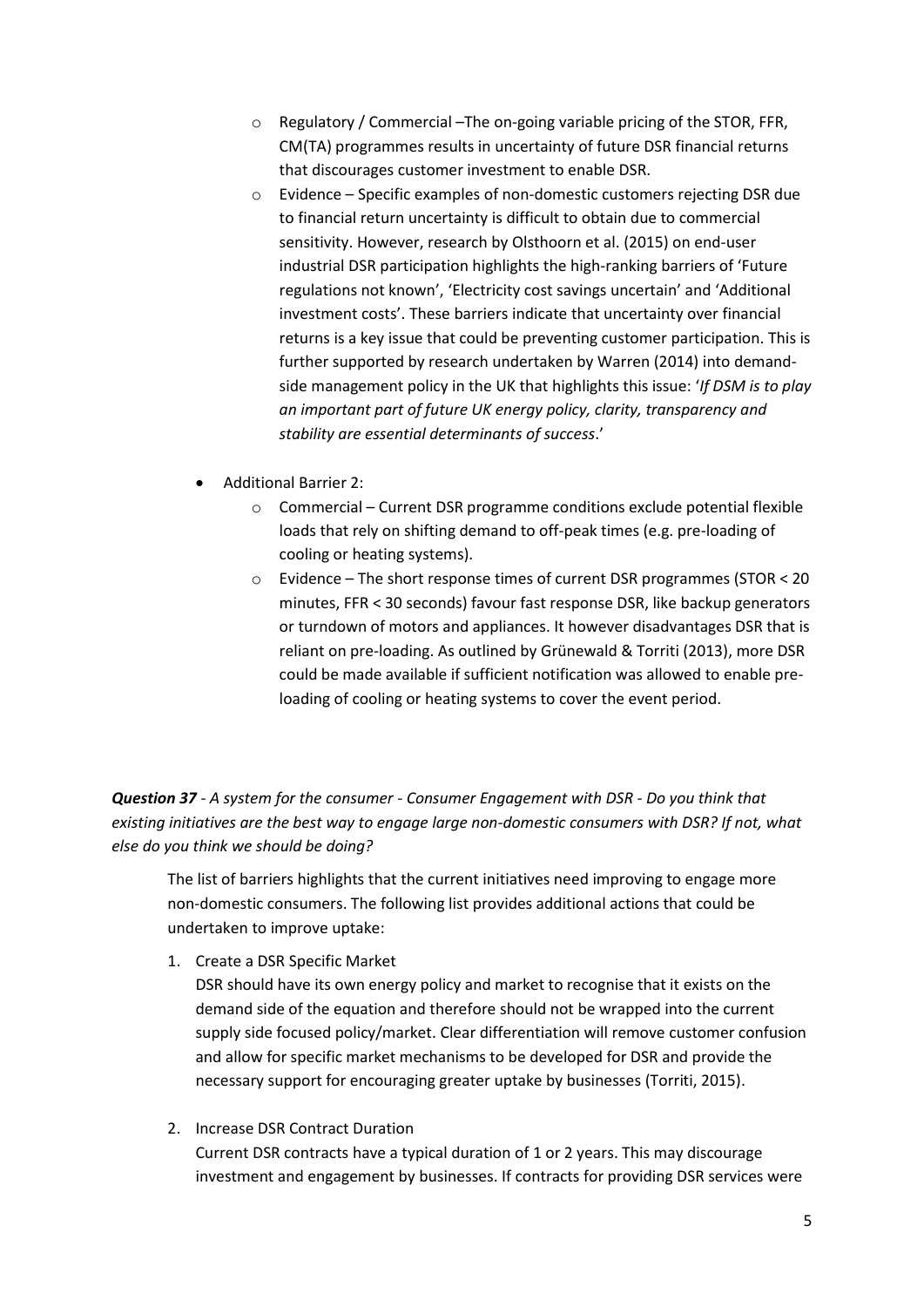- o Regulatory / Commercial –The on-going variable pricing of the STOR, FFR, CM(TA) programmes results in uncertainty of future DSR financial returns that discourages customer investment to enable DSR.
- o Evidence Specific examples of non-domestic customers rejecting DSR due to financial return uncertainty is difficult to obtain due to commercial sensitivity. However, research by Olsthoorn et al. (2015) on end-user industrial DSR participation highlights the high-ranking barriers of 'Future regulations not known', 'Electricity cost savings uncertain' and 'Additional investment costs'. These barriers indicate that uncertainty over financial returns is a key issue that could be preventing customer participation. This is further supported by research undertaken by Warren (2014) into demandside management policy in the UK that highlights this issue: '*If DSM is to play an important part of future UK energy policy, clarity, transparency and stability are essential determinants of success*.'
- Additional Barrier 2:
	- o Commercial Current DSR programme conditions exclude potential flexible loads that rely on shifting demand to off-peak times (e.g. pre-loading of cooling or heating systems).
	- $\circ$  Evidence The short response times of current DSR programmes (STOR < 20 minutes, FFR < 30 seconds) favour fast response DSR, like backup generators or turndown of motors and appliances. It however disadvantages DSR that is reliant on pre-loading. As outlined by Grünewald & Torriti (2013), more DSR could be made available if sufficient notification was allowed to enable preloading of cooling or heating systems to cover the event period.

*Question 37 - A system for the consumer - Consumer Engagement with DSR - Do you think that existing initiatives are the best way to engage large non-domestic consumers with DSR? If not, what else do you think we should be doing?* 

The list of barriers highlights that the current initiatives need improving to engage more non-domestic consumers. The following list provides additional actions that could be undertaken to improve uptake:

1. Create a DSR Specific Market

DSR should have its own energy policy and market to recognise that it exists on the demand side of the equation and therefore should not be wrapped into the current supply side focused policy/market. Clear differentiation will remove customer confusion and allow for specific market mechanisms to be developed for DSR and provide the necessary support for encouraging greater uptake by businesses (Torriti, 2015).

2. Increase DSR Contract Duration

Current DSR contracts have a typical duration of 1 or 2 years. This may discourage investment and engagement by businesses. If contracts for providing DSR services were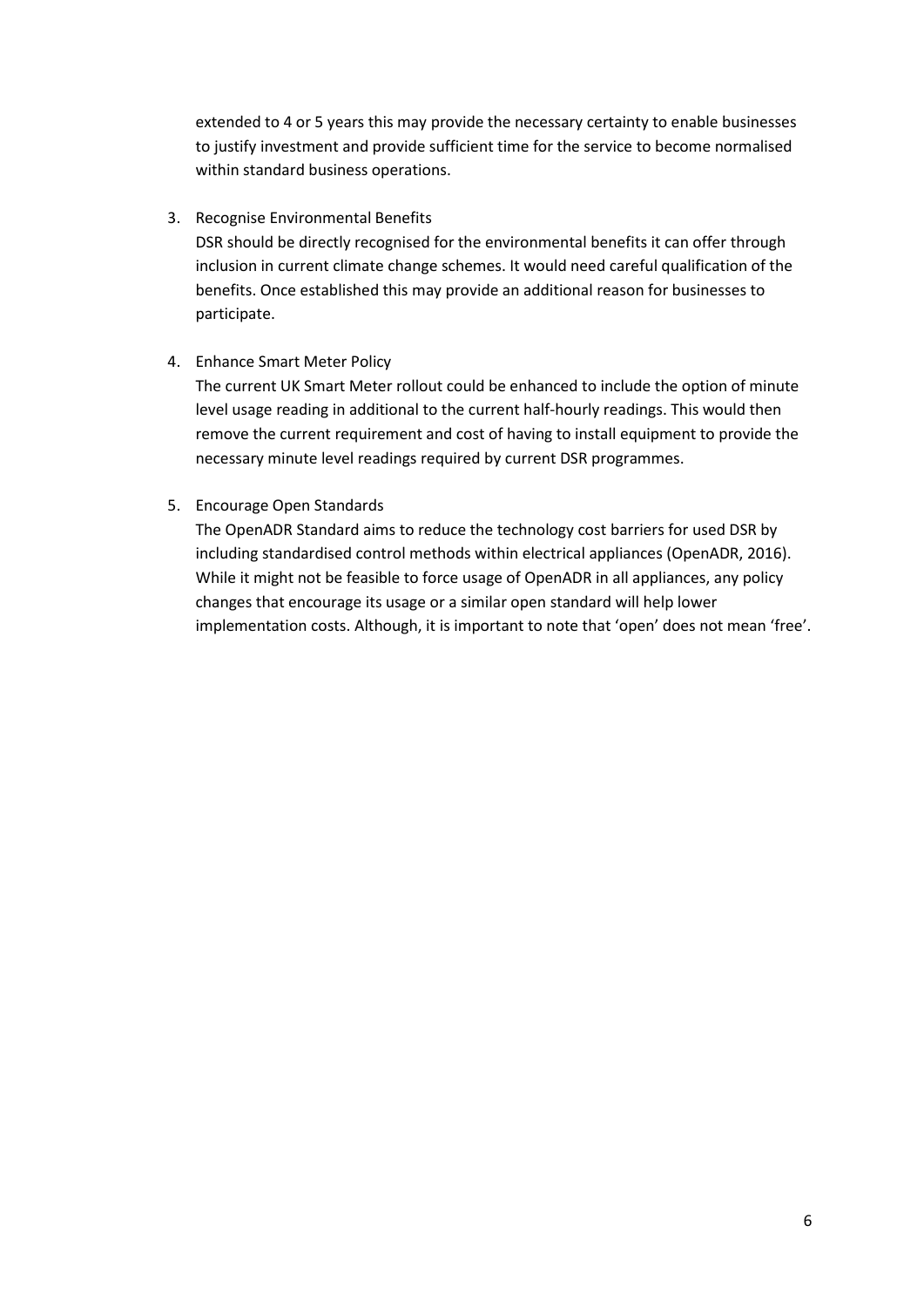extended to 4 or 5 years this may provide the necessary certainty to enable businesses to justify investment and provide sufficient time for the service to become normalised within standard business operations.

3. Recognise Environmental Benefits

DSR should be directly recognised for the environmental benefits it can offer through inclusion in current climate change schemes. It would need careful qualification of the benefits. Once established this may provide an additional reason for businesses to participate.

4. Enhance Smart Meter Policy

The current UK Smart Meter rollout could be enhanced to include the option of minute level usage reading in additional to the current half-hourly readings. This would then remove the current requirement and cost of having to install equipment to provide the necessary minute level readings required by current DSR programmes.

5. Encourage Open Standards

The OpenADR Standard aims to reduce the technology cost barriers for used DSR by including standardised control methods within electrical appliances (OpenADR, 2016). While it might not be feasible to force usage of OpenADR in all appliances, any policy changes that encourage its usage or a similar open standard will help lower implementation costs. Although, it is important to note that 'open' does not mean 'free'.